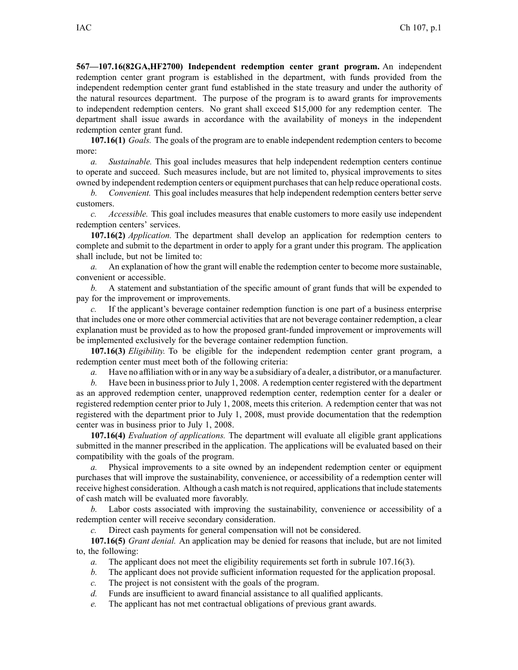**567—107.16(82GA,HF2700) Independent redemption center gran<sup>t</sup> program.** An independent redemption center gran<sup>t</sup> program is established in the department, with funds provided from the independent redemption center gran<sup>t</sup> fund established in the state treasury and under the authority of the natural resources department. The purpose of the program is to award grants for improvements to independent redemption centers. No gran<sup>t</sup> shall exceed \$15,000 for any redemption center. The department shall issue awards in accordance with the availability of moneys in the independent redemption center gran<sup>t</sup> fund.

**107.16(1)** *Goals.* The goals of the program are to enable independent redemption centers to become more:

*a. Sustainable.* This goal includes measures that help independent redemption centers continue to operate and succeed. Such measures include, but are not limited to, physical improvements to sites owned by independent redemption centers or equipment purchasesthat can help reduce operational costs.

*b. Convenient.* This goal includes measures that help independent redemption centers better serve customers.

*c. Accessible.* This goal includes measures that enable customers to more easily use independent redemption centers' services.

**107.16(2)** *Application.* The department shall develop an application for redemption centers to complete and submit to the department in order to apply for <sup>a</sup> gran<sup>t</sup> under this program. The application shall include, but not be limited to:

*a.* An explanation of how the gran<sup>t</sup> will enable the redemption center to become more sustainable, convenient or accessible.

*b.* A statement and substantiation of the specific amount of gran<sup>t</sup> funds that will be expended to pay for the improvement or improvements.

*c.* If the applicant's beverage container redemption function is one par<sup>t</sup> of <sup>a</sup> business enterprise that includes one or more other commercial activities that are not beverage container redemption, <sup>a</sup> clear explanation must be provided as to how the proposed grant-funded improvement or improvements will be implemented exclusively for the beverage container redemption function.

**107.16(3)** *Eligibility.* To be eligible for the independent redemption center gran<sup>t</sup> program, <sup>a</sup> redemption center must meet both of the following criteria:

*a.* Have no affiliation with or in any way be <sup>a</sup> subsidiary of <sup>a</sup> dealer, <sup>a</sup> distributor, or <sup>a</sup> manufacturer.

*b.* Have been in business prior to July 1, 2008. A redemption center registered with the department as an approved redemption center, unapproved redemption center, redemption center for <sup>a</sup> dealer or registered redemption center prior to July 1, 2008, meets this criterion. A redemption center that was not registered with the department prior to July 1, 2008, must provide documentation that the redemption center was in business prior to July 1, 2008.

**107.16(4)** *Evaluation of applications.* The department will evaluate all eligible gran<sup>t</sup> applications submitted in the manner prescribed in the application. The applications will be evaluated based on their compatibility with the goals of the program.

*a.* Physical improvements to <sup>a</sup> site owned by an independent redemption center or equipment purchases that will improve the sustainability, convenience, or accessibility of <sup>a</sup> redemption center will receive highest consideration. Although <sup>a</sup> cash match is not required, applicationsthat include statements of cash match will be evaluated more favorably.

*b.* Labor costs associated with improving the sustainability, convenience or accessibility of <sup>a</sup> redemption center will receive secondary consideration.

*c.* Direct cash payments for general compensation will not be considered.

**107.16(5)** *Grant denial.* An application may be denied for reasons that include, but are not limited to, the following:

- *a.* The applicant does not meet the eligibility requirements set forth in subrule 107.16(3).
- *b.* The applicant does not provide sufficient information requested for the application proposal.
- *c.* The project is not consistent with the goals of the program.
- *d.* Funds are insufficient to award financial assistance to all qualified applicants.
- *e.* The applicant has not met contractual obligations of previous gran<sup>t</sup> awards.